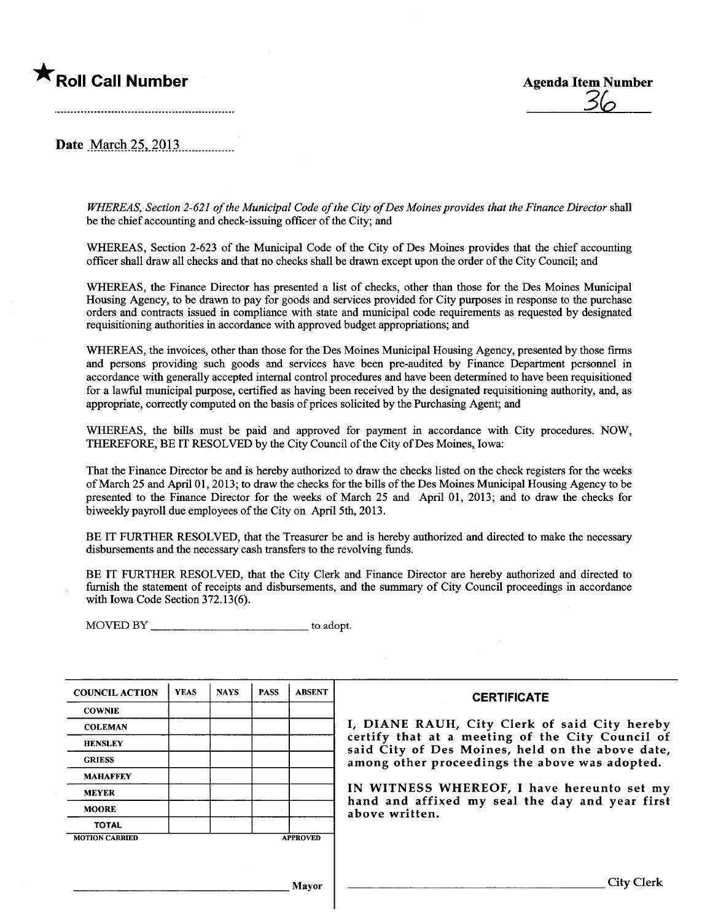## **\*** Roll Call Number Agenda Item Number



Date March 25, 2013

WHEREAS, Section 2-621 of the Municipal Code of the City of Des Moines provides that the Finance Director shall be the chief accounting and check-issuing officer of the City; and

WHEREAS, Section 2-623 of the Municipal Code of the City of Des Moines provides that the chief accounting officer shall draw all checks and that no checks shall be drawn except upon the order of the City Council; and

WHEREAS, the Finance Director has presented a list of checks, other than those for the Des Moines Municipal Housing Agency, to be drwn to pay for goods and services provided for City puroses in response to the purchase orders and contracts issued in compliance with state and muncipal code requirements as requested by designated requisitioning authorities in accordace with approved budget appropriations; and

WHEREAS, the invoices, other than those for the Des Moines Muncipal Housing Agency, presented by those firms and persons providing such goods and services have been pre-audited by Finance Department personnel in accordance with generally accepted internal control procedures and have been determned to have been requisitioned for a lawful municipal purpose, certified as having been received by the designated requisitioning authority, and, as appropriate, correctly computed on the basis of prices solicited by the Purchasing Agent; and

WHEREAS, the bils must be paid and approved for payment in accordance with City procedures. NOW, THEREFORE, BE IT RESOLVED by the City Council of the City of Des Moines, Iowa:

That the Finance Director be and is hereby authorized to draw the checks listed on the check registers for the weeks of March 25 and April 01, 2013; to draw the checks for the bils of the Des Moines Municipal Housing Agency to be presented to the Finance Director for the weeks of March 25 and April 01, 2013; and to draw the checks for biweekly payroll due employees of the City on April 5th, 2013.

BE IT FURTHER RESOLVED, that the Treasurer be and is hereby authorized and directed to make the necessary disbursements and the necessary cash transfers to the revolving funds.

BE IT FURTHER RESOLVED, that the City Clerk and Finance Director are hereby authorized and directed to furnish the statement of receipts and disbursements, and the summary of City Council proceedings in accordance with Iowa Code Section 372.13(6).

MOVED BY to adopt.

|                       | <b>YEAS</b> | <b>NAYS</b> | <b>PASS</b>     | <b>ABSENT</b> |  |
|-----------------------|-------------|-------------|-----------------|---------------|--|
| <b>COUNCIL ACTION</b> |             |             |                 |               |  |
| <b>COWNIE</b>         |             |             |                 |               |  |
| <b>COLEMAN</b>        |             |             |                 |               |  |
| <b>HENSLEY</b>        |             |             |                 |               |  |
| <b>GRIESS</b>         |             |             |                 |               |  |
| <b>MAHAFFEY</b>       |             |             |                 |               |  |
| <b>MEYER</b>          |             |             |                 |               |  |
| <b>MOORE</b>          |             |             |                 |               |  |
| <b>TOTAL</b>          |             |             |                 |               |  |
| <b>MOTION CARRIED</b> |             |             | <b>APPROVED</b> |               |  |

## **CERTIFICATE**

I, DIANE RAUH, City Clerk of said City hereby certify that at a meeting of the City Council of said City of Des Moines, held on the above date, among other proceedings the above was adopted.

IN WITNESS WHEREOF, I have hereunto set my hand and affixed my seal the day and year first above written.